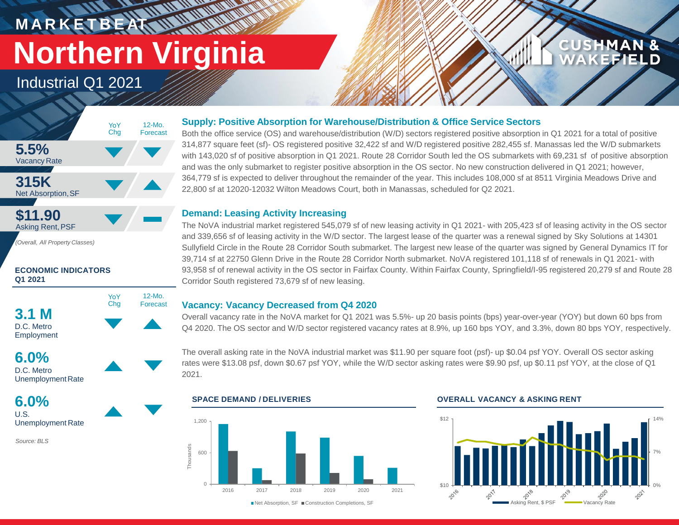# **M A R K E T B E AT Northern Virginia**

**WALLAND** 

12-Mo. Forecast

Industrial Q1 2021





*(Overall, All Property Classes)*

### **ECONOMIC INDICATORS Q1 2021**





Unemployment Rate

**6.0%** U.S. Unemployment Rate

*Source: BLS*

### **Supply: Positive Absorption for Warehouse/Distribution & Office Service Sectors**

Both the office service (OS) and warehouse/distribution (W/D) sectors registered positive absorption in Q1 2021 for a total of positive 314,877 square feet (sf)- OS registered positive 32,422 sf and W/D registered positive 282,455 sf. Manassas led the W/D submarkets with 143,020 sf of positive absorption in Q1 2021. Route 28 Corridor South led the OS submarkets with 69,231 sf of positive absorption and was the only submarket to register positive absorption in the OS sector. No new construction delivered in Q1 2021; however, 364,779 sf is expected to deliver throughout the remainder of the year. This includes 108,000 sf at 8511 Virginia Meadows Drive and 22,800 sf at 12020-12032 Wilton Meadows Court, both in Manassas, scheduled for Q2 2021.

### **Demand: Leasing Activity Increasing**

The NoVA industrial market registered 545,079 sf of new leasing activity in Q1 2021- with 205,423 sf of leasing activity in the OS sector and 339,656 sf of leasing activity in the W/D sector. The largest lease of the quarter was a renewal signed by Sky Solutions at 14301 Sullyfield Circle in the Route 28 Corridor South submarket. The largest new lease of the quarter was signed by General Dynamics IT for 39,714 sf at 22750 Glenn Drive in the Route 28 Corridor North submarket. NoVA registered 101,118 sf of renewals in Q1 2021- with 93,958 sf of renewal activity in the OS sector in Fairfax County. Within Fairfax County, Springfield/I-95 registered 20,279 sf and Route 28 Corridor South registered 73,679 sf of new leasing.

### **Vacancy: Vacancy Decreased from Q4 2020**

Overall vacancy rate in the NoVA market for Q1 2021 was 5.5%- up 20 basis points (bps) year-over-year (YOY) but down 60 bps from Q4 2020. The OS sector and W/D sector registered vacancy rates at 8.9%, up 160 bps YOY, and 3.3%, down 80 bps YOY, respectively.

The overall asking rate in the NoVA industrial market was \$11.90 per square foot (psf)- up \$0.04 psf YOY. Overall OS sector asking rates were \$13.08 psf, down \$0.67 psf YOY, while the W/D sector asking rates were \$9.90 psf, up \$0.11 psf YOY, at the close of Q1 2021.



### **SPACE DEMAND / DELIVERIES OVERALL VACANCY & ASKING RENT**



**CUSHMAN &** 

FFIEI D